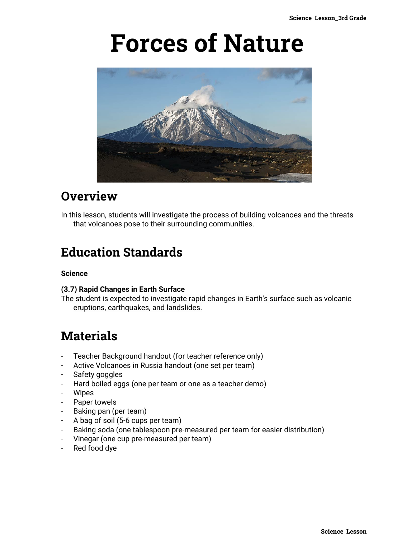# **Forces of Nature**



## **Overview**

In this lesson, students will investigate the process of building volcanoes and the threats that volcanoes pose to their surrounding communities.

# **Education Standards**

#### **Science**

#### **(3.7) Rapid Changes in Earth Surface**

The student is expected to investigate rapid changes in Earth's surface such as volcanic eruptions, earthquakes, and landslides.

### **Materials**

- Teacher Background handout (for teacher reference only)
- Active Volcanoes in Russia handout (one set per team)
- Safety goggles
- Hard boiled eggs (one per team or one as a teacher demo)
- Wipes
- Paper towels
- Baking pan (per team)
- A bag of soil (5-6 cups per team)
- Baking soda (one tablespoon pre-measured per team for easier distribution)
- Vinegar (one cup pre-measured per team)
- Red food dye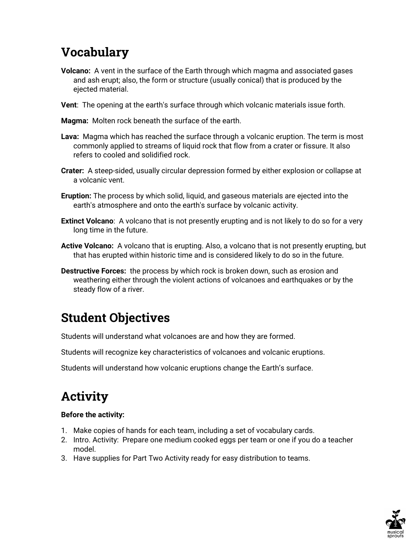# **Vocabulary**

- **Volcano:** A vent in the surface of the Earth through which magma and associated gases and ash erupt; also, the form or structure (usually conical) that is produced by the ejected material.
- **Vent**: The opening at the earth's surface through which volcanic materials issue forth.

**Magma:** Molten rock beneath the surface of the earth.

- **Lava:** Magma which has reached the surface through a volcanic eruption. The term is most commonly applied to streams of liquid rock that flow from a crater or fissure. It also refers to cooled and solidified rock.
- **Crater:** A steep-sided, usually circular depression formed by either explosion or collapse at a volcanic vent.
- **Eruption:** The process by which solid, liquid, and gaseous materials are ejected into the earth's atmosphere and onto the earth's surface by volcanic activity.
- **Extinct Volcano**: A volcano that is not presently erupting and is not likely to do so for a very long time in the future.
- **Active Volcano:** A volcano that is erupting. Also, a volcano that is not presently erupting, but that has erupted within historic time and is considered likely to do so in the future.
- **Destructive Forces:** the process by which rock is broken down, such as erosion and weathering either through the violent actions of volcanoes and earthquakes or by the steady flow of a river.

# **Student Objectives**

Students will understand what volcanoes are and how they are formed.

Students will recognize key characteristics of volcanoes and volcanic eruptions.

Students will understand how volcanic eruptions change the Earth's surface.

# **Activity**

### **Before the activity:**

- 1. Make copies of hands for each team, including a set of vocabulary cards.
- 2. Intro. Activity: Prepare one medium cooked eggs per team or one if you do a teacher model.
- 3. Have supplies for Part Two Activity ready for easy distribution to teams.

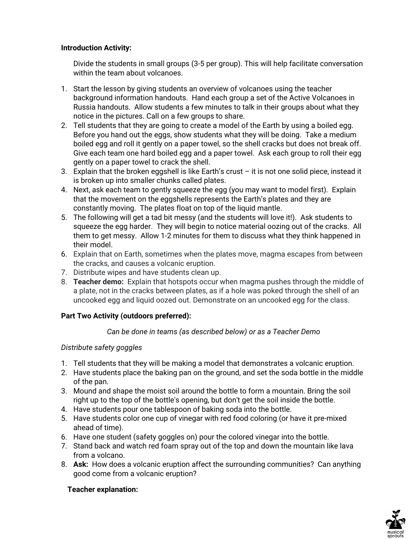### **Introduction Activity:**

Divide the students in small groups (3-5 per group). This will help facilitate conversation within the team about volcanoes.

- 1. Start the lesson by giving students an overview of volcanoes using the teacher background information handouts. Hand each group a set of the Active Volcanoes in Russia handouts. Allow students a few minutes to talk in their groups about what they notice in the pictures. Call on a few groups to share.
- 2. Tell students that they are going to create a model of the Earth by using a boiled egg. Before you hand out the eggs, show students what they will be doing. Take a medium boiled egg and roll it gently on a paper towel, so the shell cracks but does not break off. Give each team one hard boiled egg and a paper towel. Ask each group to roll their egg gently on a paper towel to crack the shell.
- 3. Explain that the broken eggshell is like Earth's crust it is not one solid piece, instead it is broken up into smaller chunks called plates.
- 4. Next, ask each team to gently squeeze the egg (you may want to model first). Explain that the movement on the eggshells represents the Earth's plates and they are constantly moving. The plates float on top of the liquid mantle.
- 5. The following will get a tad bit messy (and the students will love it!). Ask students to squeeze the egg harder. They will begin to notice material oozing out of the cracks. All them to get messy. Allow 1-2 minutes for them to discuss what they think happened in their model.
- 6. Explain that on Earth, sometimes when the plates move, magma escapes from between the cracks, and causes a volcanic eruption.
- 7. Distribute wipes and have students clean up.
- 8. **Teacher demo:** Explain that hotspots occur when magma pushes through the middle of a plate, not in the cracks between plates, as if a hole was poked through the shell of an uncooked egg and liquid oozed out. Demonstrate on an uncooked egg for the class.

### **Part Two Activity (outdoors preferred):**

### *Can be done in teams (as described below) or as a Teacher Demo*

### *Distribute safety goggles*

- 1. Tell students that they will be making a model that demonstrates a volcanic eruption.
- 2. Have students place the baking pan on the ground, and set the soda bottle in the middle of the pan.
- 3. Mound and shape the moist soil around the bottle to form a mountain. Bring the soil right up to the top of the bottle's opening, but don't get the soil inside the bottle.
- 4. Have students pour one tablespoon of baking soda into the bottle.
- 5. Have students color one cup of vinegar with red food coloring (or have it pre-mixed ahead of time).
- 6. Have one student (safety goggles on) pour the colored vinegar into the bottle.
- 7. Stand back and watch red foam spray out of the top and down the mountain like lava from a volcano.
- 8. **Ask:** How does a volcanic eruption affect the surrounding communities? Can anything good come from a volcanic eruption?

### **Teacher explanation:**